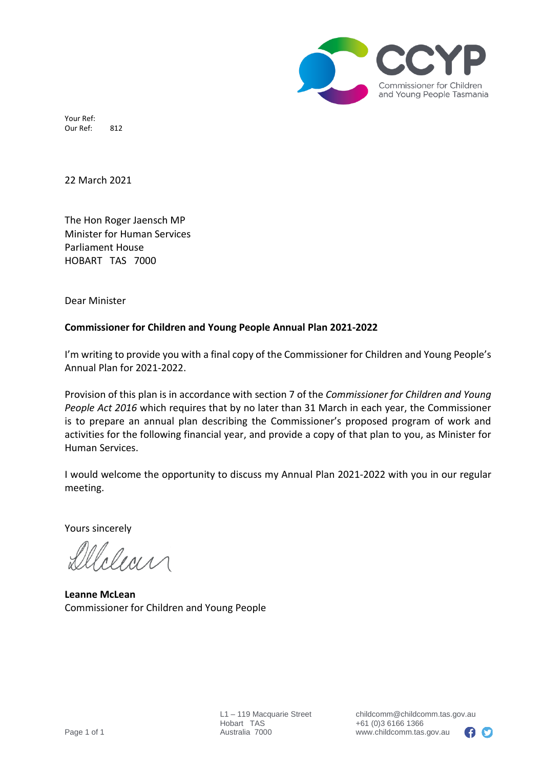

Your Ref: Our Ref: 812

22 March 2021

The Hon Roger Jaensch MP Minister for Human Services Parliament House HOBART TAS 7000

Dear Minister

#### **Commissioner for Children and Young People Annual Plan 2021-2022**

I'm writing to provide you with a final copy of the Commissioner for Children and Young People's Annual Plan for 2021-2022.

Provision of this plan is in accordance with section 7 of the *Commissioner for Children and Young People Act 2016* which requires that by no later than 31 March in each year, the Commissioner is to prepare an annual plan describing the Commissioner's proposed program of work and activities for the following financial year, and provide a copy of that plan to you, as Minister for Human Services.

I would welcome the opportunity to discuss my Annual Plan 2021-2022 with you in our regular meeting.

Yours sincerely

**Leanne McLean** Commissioner for Children and Young People

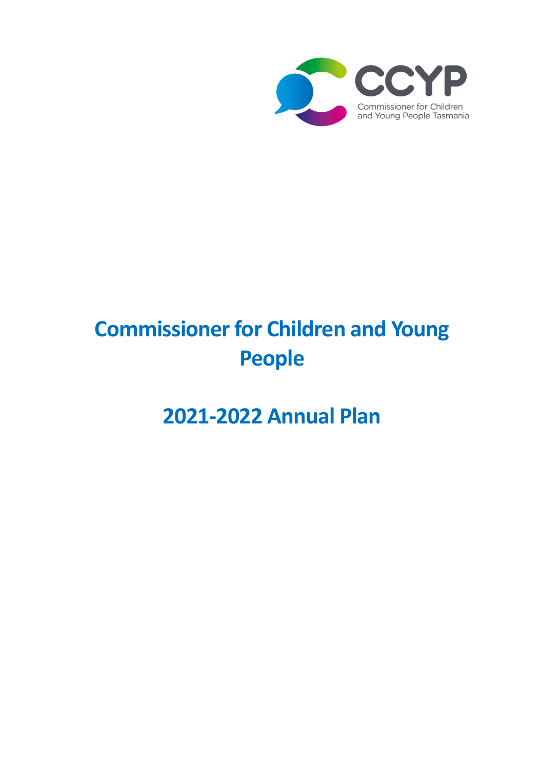

# **Commissioner for Children and Young People**

## **2021-2022 Annual Plan**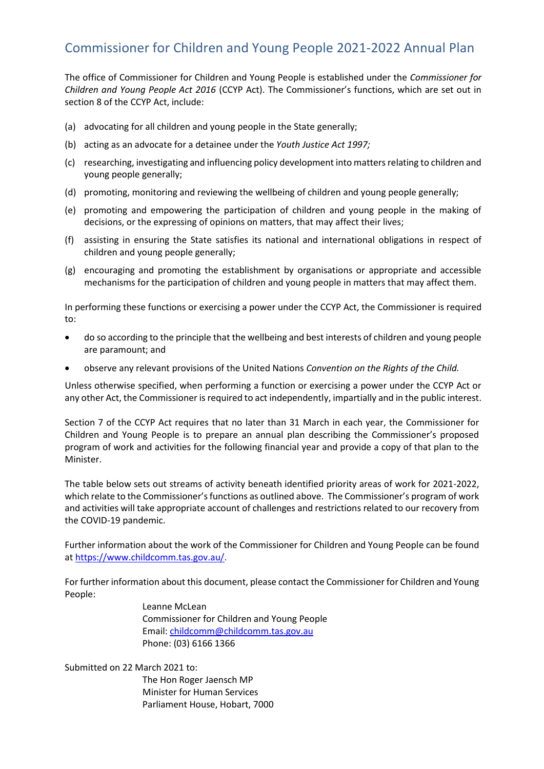### Commissioner for Children and Young People 2021-2022 Annual Plan

The office of Commissioner for Children and Young People is established under the *Commissioner for Children and Young People Act 2016* (CCYP Act). The Commissioner's functions, which are set out in section 8 of the CCYP Act, include:

- (a) advocating for all children and young people in the State generally;
- (b) acting as an advocate for a detainee under the *Youth Justice Act 1997;*
- (c) researching, investigating and influencing policy development into matters relating to children and young people generally;
- (d) promoting, monitoring and reviewing the wellbeing of children and young people generally;
- (e) promoting and empowering the participation of children and young people in the making of decisions, or the expressing of opinions on matters, that may affect their lives;
- (f) assisting in ensuring the State satisfies its national and international obligations in respect of children and young people generally;
- (g) encouraging and promoting the establishment by organisations or appropriate and accessible mechanisms for the participation of children and young people in matters that may affect them.

In performing these functions or exercising a power under the CCYP Act, the Commissioner is required to:

- do so according to the principle that the wellbeing and best interests of children and young people are paramount; and
- observe any relevant provisions of the United Nations *Convention on the Rights of the Child.*

Unless otherwise specified, when performing a function or exercising a power under the CCYP Act or any other Act, the Commissioner is required to act independently, impartially and in the public interest.

Section 7 of the CCYP Act requires that no later than 31 March in each year, the Commissioner for Children and Young People is to prepare an annual plan describing the Commissioner's proposed program of work and activities for the following financial year and provide a copy of that plan to the Minister.

The table below sets out streams of activity beneath identified priority areas of work for 2021-2022, which relate to the Commissioner's functions as outlined above. The Commissioner's program of work and activities will take appropriate account of challenges and restrictions related to our recovery from the COVID-19 pandemic.

Further information about the work of the Commissioner for Children and Young People can be found at [https://www.childcomm.tas.gov.au/.](https://www.childcomm.tas.gov.au/)

For further information about this document, please contact the Commissioner for Children and Young People:

> Leanne McLean Commissioner for Children and Young People Email: [childcomm@childcomm.tas.gov.au](mailto:childcomm@childcomm.tas.gov.au) Phone: (03) 6166 1366

Submitted on 22 March 2021 to:

The Hon Roger Jaensch MP Minister for Human Services Parliament House, Hobart, 7000